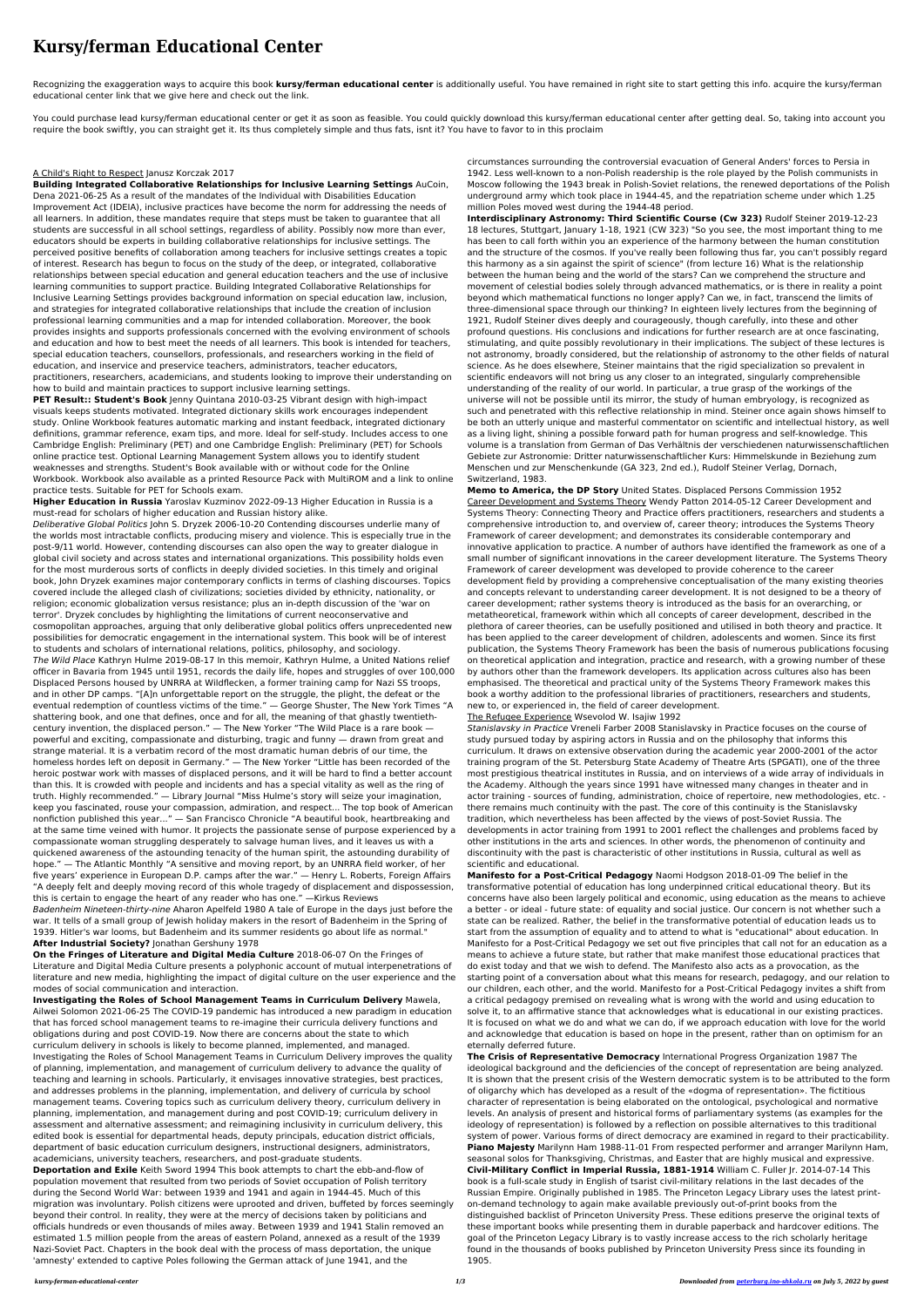## **Kursy/ferman Educational Center**

Recognizing the exaggeration ways to acquire this book **kursy/ferman educational center** is additionally useful. You have remained in right site to start getting this info. acquire the kursy/ferman educational center link that we give here and check out the link.

You could purchase lead kursy/ferman educational center or get it as soon as feasible. You could quickly download this kursy/ferman educational center after getting deal. So, taking into account you require the book swiftly, you can straight get it. Its thus completely simple and thus fats, isnt it? You have to favor to in this proclaim

## A Child's Right to Respect Janusz Korczak 2017

**Building Integrated Collaborative Relationships for Inclusive Learning Settings** AuCoin, Dena 2021-06-25 As a result of the mandates of the Individual with Disabilities Education Improvement Act (IDEIA), inclusive practices have become the norm for addressing the needs of all learners. In addition, these mandates require that steps must be taken to guarantee that all students are successful in all school settings, regardless of ability. Possibly now more than ever, educators should be experts in building collaborative relationships for inclusive settings. The perceived positive benefits of collaboration among teachers for inclusive settings creates a topic of interest. Research has begun to focus on the study of the deep, or integrated, collaborative relationships between special education and general education teachers and the use of inclusive learning communities to support practice. Building Integrated Collaborative Relationships for Inclusive Learning Settings provides background information on special education law, inclusion, and strategies for integrated collaborative relationships that include the creation of inclusion professional learning communities and a map for intended collaboration. Moreover, the book provides insights and supports professionals concerned with the evolving environment of schools and education and how to best meet the needs of all learners. This book is intended for teachers, special education teachers, counsellors, professionals, and researchers working in the field of education, and inservice and preservice teachers, administrators, teacher educators, practitioners, researchers, academicians, and students looking to improve their understanding on how to build and maintain practices to support inclusive learning settings.

**PET Result:: Student's Book** Jenny Quintana 2010-03-25 Vibrant design with high-impact visuals keeps students motivated. Integrated dictionary skills work encourages independent study. Online Workbook features automatic marking and instant feedback, integrated dictionary definitions, grammar reference, exam tips, and more. Ideal for self-study. Includes access to one Cambridge English: Preliminary (PET) and one Cambridge English: Preliminary (PET) for Schools online practice test. Optional Learning Management System allows you to identify student weaknesses and strengths. Student's Book available with or without code for the Online Workbook. Workbook also available as a printed Resource Pack with MultiROM and a link to online practice tests. Suitable for PET for Schools exam.

**Higher Education in Russia** Yaroslav Kuzminov 2022-09-13 Higher Education in Russia is a must-read for scholars of higher education and Russian history alike.

Deliberative Global Politics John S. Dryzek 2006-10-20 Contending discourses underlie many of the worlds most intractable conflicts, producing misery and violence. This is especially true in the post-9/11 world. However, contending discourses can also open the way to greater dialogue in global civil society and across states and international organizations. This possibility holds even for the most murderous sorts of conflicts in deeply divided societies. In this timely and original book, John Dryzek examines major contemporary conflicts in terms of clashing discourses. Topics covered include the alleged clash of civilizations; societies divided by ethnicity, nationality, or religion; economic globalization versus resistance; plus an in-depth discussion of the 'war on terror'. Dryzek concludes by highlighting the limitations of current neoconservative and cosmopolitan approaches, arguing that only deliberative global politics offers unprecedented new possibilities for democratic engagement in the international system. This book will be of interest to students and scholars of international relations, politics, philosophy, and sociology. The Wild Place Kathryn Hulme 2019-08-17 In this memoir, Kathryn Hulme, a United Nations relief officer in Bavaria from 1945 until 1951, records the daily life, hopes and struggles of over 100,000 Displaced Persons housed by UNRRA at Wildflecken, a former training camp for Nazi SS troops, and in other DP camps. "[A]n unforgettable report on the struggle, the plight, the defeat or the eventual redemption of countless victims of the time." — George Shuster, The New York Times "A shattering book, and one that defines, once and for all, the meaning of that ghastly twentiethcentury invention, the displaced person." — The New Yorker "The Wild Place is a rare book powerful and exciting, compassionate and disturbing, tragic and funny — drawn from great and strange material. It is a verbatim record of the most dramatic human debris of our time, the homeless hordes left on deposit in Germany." — The New Yorker "Little has been recorded of the heroic postwar work with masses of displaced persons, and it will be hard to find a better account than this. It is crowded with people and incidents and has a special vitality as well as the ring of truth. Highly recommended." — Library Journal "Miss Hulme's story will seize your imagination, keep you fascinated, rouse your compassion, admiration, and respect... The top book of American nonfiction published this year..." — San Francisco Chronicle "A beautiful book, heartbreaking and at the same time veined with humor. It projects the passionate sense of purpose experienced by a compassionate woman struggling desperately to salvage human lives, and it leaves us with a quickened awareness of the astounding tenacity of the human spirit, the astounding durability of hope." — The Atlantic Monthly "A sensitive and moving report, by an UNRRA field worker, of her five years' experience in European D.P. camps after the war." — Henry L. Roberts, Foreign Affairs "A deeply felt and deeply moving record of this whole tragedy of displacement and dispossession, this is certain to engage the heart of any reader who has one." —Kirkus Reviews Badenheim Nineteen-thirty-nine Aharon Apelfeld 1980 A tale of Europe in the days just before the war. It tells of a small group of Jewish holiday makers in the resort of Badenheim in the Spring of 1939. Hitler's war looms, but Badenheim and its summer residents go about life as normal." **After Industrial Society?** Jonathan Gershuny 1978

**On the Fringes of Literature and Digital Media Culture** 2018-06-07 On the Fringes of Literature and Digital Media Culture presents a polyphonic account of mutual interpenetrations of literature and new media, highlighting the impact of digital culture on the user experience and the modes of social communication and interaction.

**Investigating the Roles of School Management Teams in Curriculum Delivery** Mawela, Ailwei Solomon 2021-06-25 The COVID-19 pandemic has introduced a new paradigm in education that has forced school management teams to re-imagine their curricula delivery functions and obligations during and post COVID-19. Now there are concerns about the state to which curriculum delivery in schools is likely to become planned, implemented, and managed. Investigating the Roles of School Management Teams in Curriculum Delivery improves the quality of planning, implementation, and management of curriculum delivery to advance the quality of teaching and learning in schools. Particularly, it envisages innovative strategies, best practices, and addresses problems in the planning, implementation, and delivery of curricula by school management teams. Covering topics such as curriculum delivery theory, curriculum delivery in planning, implementation, and management during and post COVID-19; curriculum delivery in assessment and alternative assessment; and reimagining inclusivity in curriculum delivery, this edited book is essential for departmental heads, deputy principals, education district officials, department of basic education curriculum designers, instructional designers, administrators, academicians, university teachers, researchers, and post-graduate students.

**Deportation and Exile** Keith Sword 1994 This book attempts to chart the ebb-and-flow of population movement that resulted from two periods of Soviet occupation of Polish territory during the Second World War: between 1939 and 1941 and again in 1944-45. Much of this migration was involuntary. Polish citizens were uprooted and driven, buffeted by forces seemingly beyond their control. In reality, they were at the mercy of decisions taken by politicians and officials hundreds or even thousands of miles away. Between 1939 and 1941 Stalin removed an estimated 1.5 million people from the areas of eastern Poland, annexed as a result of the 1939 Nazi-Soviet Pact. Chapters in the book deal with the process of mass deportation, the unique 'amnesty' extended to captive Poles following the German attack of June 1941, and the

circumstances surrounding the controversial evacuation of General Anders' forces to Persia in 1942. Less well-known to a non-Polish readership is the role played by the Polish communists in Moscow following the 1943 break in Polish-Soviet relations, the renewed deportations of the Polish underground army which took place in 1944-45, and the repatriation scheme under which 1.25 million Poles moved west during the 1944-48 period.

**Interdisciplinary Astronomy: Third Scientific Course (Cw 323)** Rudolf Steiner 2019-12-23 18 lectures, Stuttgart, January 1-18, 1921 (CW 323) "So you see, the most important thing to me has been to call forth within you an experience of the harmony between the human constitution and the structure of the cosmos. If you've really been following thus far, you can't possibly regard this harmony as a sin against the spirit of science" (from lecture 16) What is the relationship between the human being and the world of the stars? Can we comprehend the structure and movement of celestial bodies solely through advanced mathematics, or is there in reality a point beyond which mathematical functions no longer apply? Can we, in fact, transcend the limits of three-dimensional space through our thinking? In eighteen lively lectures from the beginning of 1921, Rudolf Steiner dives deeply and courageously, though carefully, into these and other profound questions. His conclusions and indications for further research are at once fascinating, stimulating, and quite possibly revolutionary in their implications. The subject of these lectures is not astronomy, broadly considered, but the relationship of astronomy to the other fields of natural science. As he does elsewhere, Steiner maintains that the rigid specialization so prevalent in scientific endeavors will not bring us any closer to an integrated, singularly comprehensible understanding of the reality of our world. In particular, a true grasp of the workings of the universe will not be possible until its mirror, the study of human embryology, is recognized as such and penetrated with this reflective relationship in mind. Steiner once again shows himself to be both an utterly unique and masterful commentator on scientific and intellectual history, as well as a living light, shining a possible forward path for human progress and self-knowledge. This volume is a translation from German of Das Verhältnis der verschiedenen naturwissenschaftlichen Gebiete zur Astronomie: Dritter naturwissenschaftlicher Kurs: Himmelskunde in Beziehung zum Menschen und zur Menschenkunde (GA 323, 2nd ed.), Rudolf Steiner Verlag, Dornach, Switzerland, 1983.

**Memo to America, the DP Story** United States. Displaced Persons Commission 1952 Career Development and Systems Theory Wendy Patton 2014-05-12 Career Development and Systems Theory: Connecting Theory and Practice offers practitioners, researchers and students a comprehensive introduction to, and overview of, career theory; introduces the Systems Theory Framework of career development; and demonstrates its considerable contemporary and innovative application to practice. A number of authors have identified the framework as one of a small number of significant innovations in the career development literature. The Systems Theory Framework of career development was developed to provide coherence to the career development field by providing a comprehensive conceptualisation of the many existing theories and concepts relevant to understanding career development. It is not designed to be a theory of career development; rather systems theory is introduced as the basis for an overarching, or metatheoretical, framework within which all concepts of career development, described in the plethora of career theories, can be usefully positioned and utilised in both theory and practice. It has been applied to the career development of children, adolescents and women. Since its first publication, the Systems Theory Framework has been the basis of numerous publications focusing on theoretical application and integration, practice and research, with a growing number of these by authors other than the framework developers. Its application across cultures also has been emphasised. The theoretical and practical unity of the Systems Theory Framework makes this book a worthy addition to the professional libraries of practitioners, researchers and students, new to, or experienced in, the field of career development. The Refugee Experience Wsevolod W. Isajiw 1992 Stanislavsky in Practice Vreneli Farber 2008 Stanislavsky in Practice focuses on the course of study pursued today by aspiring actors in Russia and on the philosophy that informs this curriculum. It draws on extensive observation during the academic year 2000-2001 of the actor training program of the St. Petersburg State Academy of Theatre Arts (SPGATI), one of the three most prestigious theatrical institutes in Russia, and on interviews of a wide array of individuals in the Academy. Although the years since 1991 have witnessed many changes in theater and in actor training - sources of funding, administration, choice of repertoire, new methodologies, etc. there remains much continuity with the past. The core of this continuity is the Stanislavsky tradition, which nevertheless has been affected by the views of post-Soviet Russia. The developments in actor training from 1991 to 2001 reflect the challenges and problems faced by other institutions in the arts and sciences. In other words, the phenomenon of continuity and discontinuity with the past is characteristic of other institutions in Russia, cultural as well as scientific and educational. **Manifesto for a Post-Critical Pedagogy** Naomi Hodgson 2018-01-09 The belief in the transformative potential of education has long underpinned critical educational theory. But its concerns have also been largely political and economic, using education as the means to achieve a better - or ideal - future state: of equality and social justice. Our concern is not whether such a state can be realized. Rather, the belief in the transformative potential of education leads us to start from the assumption of equality and to attend to what is "educational" about education. In Manifesto for a Post-Critical Pedagogy we set out five principles that call not for an education as a means to achieve a future state, but rather that make manifest those educational practices that do exist today and that we wish to defend. The Manifesto also acts as a provocation, as the starting point of a conversation about what this means for research, pedagogy, and our relation to our children, each other, and the world. Manifesto for a Post-Critical Pedagogy invites a shift from a critical pedagogy premised on revealing what is wrong with the world and using education to solve it, to an affirmative stance that acknowledges what is educational in our existing practices. It is focused on what we do and what we can do, if we approach education with love for the world and acknowledge that education is based on hope in the present, rather than on optimism for an eternally deferred future. **The Crisis of Representative Democracy** International Progress Organization 1987 The ideological background and the deficiencies of the concept of representation are being analyzed. It is shown that the present crisis of the Western democratic system is to be attributed to the form of oligarchy which has developed as a result of the «dogma of representation». The fictitious character of representation is being elaborated on the ontological, psychological and normative levels. An analysis of present and historical forms of parliamentary systems (as examples for the ideology of representation) is followed by a reflection on possible alternatives to this traditional system of power. Various forms of direct democracy are examined in regard to their practicability. **Piano Majesty** Marilynn Ham 1988-11-01 From respected performer and arranger Marilynn Ham, seasonal solos for Thanksgiving, Christmas, and Easter that are highly musical and expressive. **Civil-Military Conflict in Imperial Russia, 1881-1914** William C. Fuller Jr. 2014-07-14 This book is a full-scale study in English of tsarist civil-military relations in the last decades of the Russian Empire. Originally published in 1985. The Princeton Legacy Library uses the latest printon-demand technology to again make available previously out-of-print books from the distinguished backlist of Princeton University Press. These editions preserve the original texts of these important books while presenting them in durable paperback and hardcover editions. The goal of the Princeton Legacy Library is to vastly increase access to the rich scholarly heritage found in the thousands of books published by Princeton University Press since its founding in 1905.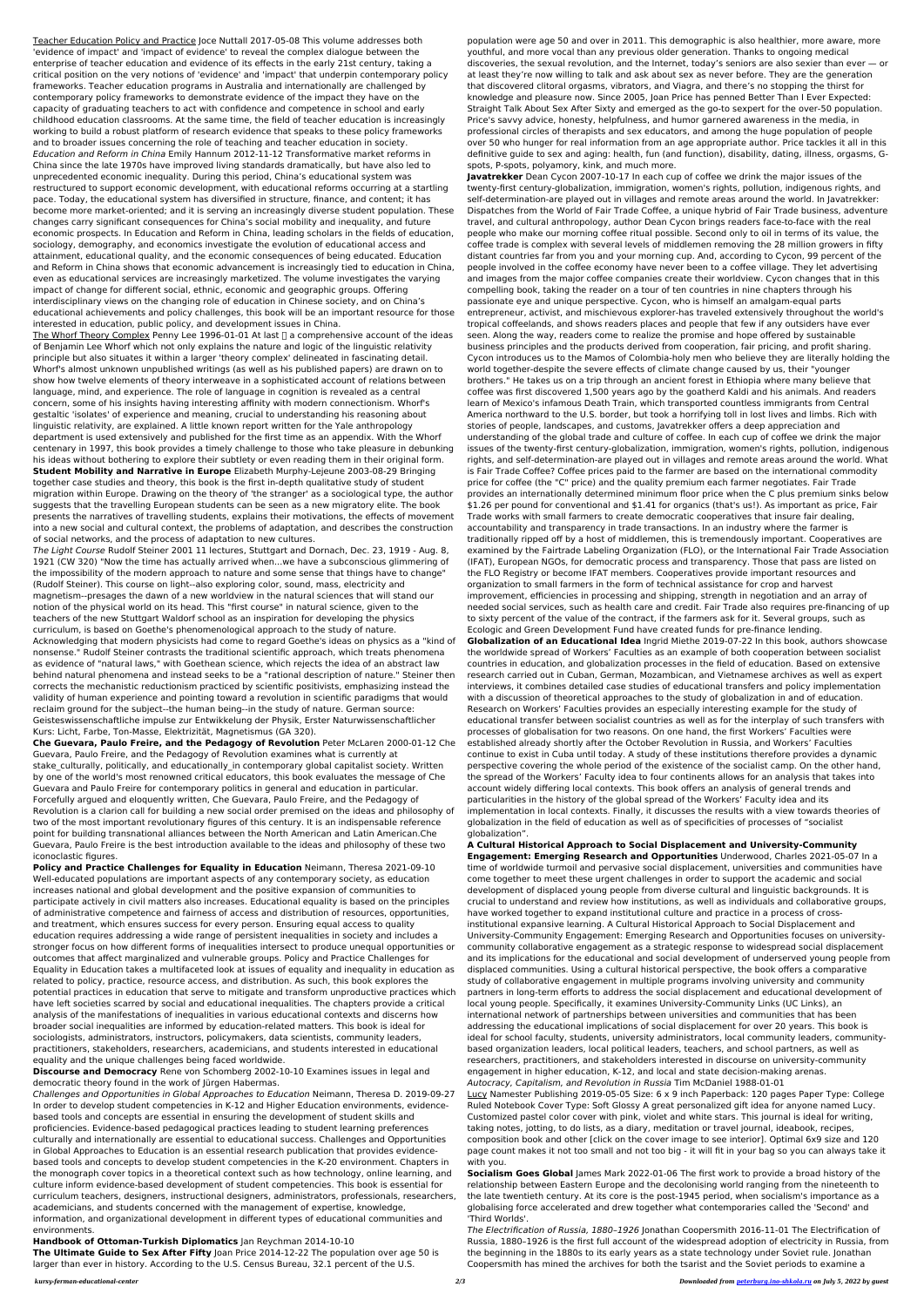Teacher Education Policy and Practice Joce Nuttall 2017-05-08 This volume addresses both 'evidence of impact' and 'impact of evidence' to reveal the complex dialogue between the enterprise of teacher education and evidence of its effects in the early 21st century, taking a critical position on the very notions of 'evidence' and 'impact' that underpin contemporary policy frameworks. Teacher education programs in Australia and internationally are challenged by contemporary policy frameworks to demonstrate evidence of the impact they have on the capacity of graduating teachers to act with confidence and competence in school and early childhood education classrooms. At the same time, the field of teacher education is increasingly working to build a robust platform of research evidence that speaks to these policy frameworks and to broader issues concerning the role of teaching and teacher education in society. Education and Reform in China Emily Hannum 2012-11-12 Transformative market reforms in China since the late 1970s have improved living standards dramatically, but have also led to unprecedented economic inequality. During this period, China's educational system was restructured to support economic development, with educational reforms occurring at a startling pace. Today, the educational system has diversified in structure, finance, and content; it has become more market-oriented; and it is serving an increasingly diverse student population. These changes carry significant consequences for China's social mobility and inequality, and future economic prospects. In Education and Reform in China, leading scholars in the fields of education, sociology, demography, and economics investigate the evolution of educational access and attainment, educational quality, and the economic consequences of being educated. Education and Reform in China shows that economic advancement is increasingly tied to education in China, even as educational services are increasingly marketized. The volume investigates the varying impact of change for different social, ethnic, economic and geographic groups. Offering interdisciplinary views on the changing role of education in Chinese society, and on China's educational achievements and policy challenges, this book will be an important resource for those interested in education, public policy, and development issues in China.

The Whorf Theory Complex Penny Lee 1996-01-01 At last  $\Box$  a comprehensive account of the ideas of Benjamin Lee Whorf which not only explains the nature and logic of the linguistic relativity principle but also situates it within a larger 'theory complex' delineated in fascinating detail. Whorf's almost unknown unpublished writings (as well as his published papers) are drawn on to show how twelve elements of theory interweave in a sophisticated account of relations between language, mind, and experience. The role of language in cognition is revealed as a central concern, some of his insights having interesting affinity with modern connectionism. Whorf's gestaltic 'isolates' of experience and meaning, crucial to understanding his reasoning about linguistic relativity, are explained. A little known report written for the Yale anthropology department is used extensively and published for the first time as an appendix. With the Whorf centenary in 1997, this book provides a timely challenge to those who take pleasure in debunking his ideas without bothering to explore their subtlety or even reading them in their original form. **Student Mobility and Narrative in Europe** Elizabeth Murphy-Lejeune 2003-08-29 Bringing together case studies and theory, this book is the first in-depth qualitative study of student migration within Europe. Drawing on the theory of 'the stranger' as a sociological type, the author suggests that the travelling European students can be seen as a new migratory elite. The book presents the narratives of travelling students, explains their motivations, the effects of movement into a new social and cultural context, the problems of adaptation, and describes the construction of social networks, and the process of adaptation to new cultures.

The Light Course Rudolf Steiner 2001 11 lectures, Stuttgart and Dornach, Dec. 23, 1919 - Aug. 8, 1921 (CW 320) "Now the time has actually arrived when...we have a subconscious glimmering of the impossibility of the modern approach to nature and some sense that things have to change" (Rudolf Steiner). This course on light--also exploring color, sound, mass, electricity and magnetism--presages the dawn of a new worldview in the natural sciences that will stand our notion of the physical world on its head. This "first course" in natural science, given to the teachers of the new Stuttgart Waldorf school as an inspiration for developing the physics curriculum, is based on Goethe's phenomenological approach to the study of nature. Acknowledging that modern physicists had come to regard Goethe's ideas on physics as a "kind of nonsense." Rudolf Steiner contrasts the traditional scientific approach, which treats phenomena as evidence of "natural laws," with Goethean science, which rejects the idea of an abstract law behind natural phenomena and instead seeks to be a "rational description of nature." Steiner then corrects the mechanistic reductionism practiced by scientific positivists, emphasizing instead the validity of human experience and pointing toward a revolution in scientific paradigms that would reclaim ground for the subject--the human being--in the study of nature. German source: Geisteswissenschaftliche impulse zur Entwikkelung der Physik, Erster Naturwissenschaftlicher Kurs: Licht, Farbe, Ton-Masse, Elektrizität, Magnetismus (GA 320). **Che Guevara, Paulo Freire, and the Pedagogy of Revolution** Peter McLaren 2000-01-12 Che Guevara, Paulo Freire, and the Pedagogy of Revolution examines what is currently at stake\_culturally, politically, and educationally\_in contemporary global capitalist society. Written by one of the world's most renowned critical educators, this book evaluates the message of Che Guevara and Paulo Freire for contemporary politics in general and education in particular. Forcefully argued and eloquently written, Che Guevara, Paulo Freire, and the Pedagogy of Revolution is a clarion call for building a new social order premised on the ideas and philosophy of two of the most important revolutionary figures of this century. It is an indispensable reference point for building transnational alliances between the North American and Latin American.Che Guevara, Paulo Freire is the best introduction available to the ideas and philosophy of these two iconoclastic figures. **Policy and Practice Challenges for Equality in Education** Neimann, Theresa 2021-09-10 Well-educated populations are important aspects of any contemporary society, as education increases national and global development and the positive expansion of communities to participate actively in civil matters also increases. Educational equality is based on the principles of administrative competence and fairness of access and distribution of resources, opportunities, and treatment, which ensures success for every person. Ensuring equal access to quality education requires addressing a wide range of persistent inequalities in society and includes a stronger focus on how different forms of inequalities intersect to produce unequal opportunities or outcomes that affect marginalized and vulnerable groups. Policy and Practice Challenges for Equality in Education takes a multifaceted look at issues of equality and inequality in education as related to policy, practice, resource access, and distribution. As such, this book explores the potential practices in education that serve to mitigate and transform unproductive practices which have left societies scarred by social and educational inequalities. The chapters provide a critical analysis of the manifestations of inequalities in various educational contexts and discerns how broader social inequalities are informed by education-related matters. This book is ideal for sociologists, administrators, instructors, policymakers, data scientists, community leaders, practitioners, stakeholders, researchers, academicians, and students interested in educational equality and the unique challenges being faced worldwide.

**Discourse and Democracy** Rene von Schomberg 2002-10-10 Examines issues in legal and democratic theory found in the work of Jürgen Habermas.

Challenges and Opportunities in Global Approaches to Education Neimann, Theresa D. 2019-09-27 In order to develop student competencies in K-12 and Higher Education environments, evidencebased tools and concepts are essential in ensuring the development of student skills and proficiencies. Evidence-based pedagogical practices leading to student learning preferences culturally and internationally are essential to educational success. Challenges and Opportunities in Global Approaches to Education is an essential research publication that provides evidencebased tools and concepts to develop student competencies in the K-20 environment. Chapters in the monograph cover topics in a theoretical context such as how technology, online learning, and culture inform evidence-based development of student competencies. This book is essential for curriculum teachers, designers, instructional designers, administrators, professionals, researchers, academicians, and students concerned with the management of expertise, knowledge, information, and organizational development in different types of educational communities and environments.

**Handbook of Ottoman-Turkish Diplomatics** Jan Reychman 2014-10-10

**The Ultimate Guide to Sex After Fifty** Joan Price 2014-12-22 The population over age 50 is larger than ever in history. According to the U.S. Census Bureau, 32.1 percent of the U.S.

population were age 50 and over in 2011. This demographic is also healthier, more aware, more youthful, and more vocal than any previous older generation. Thanks to ongoing medical discoveries, the sexual revolution, and the Internet, today's seniors are also sexier than ever — or at least they're now willing to talk and ask about sex as never before. They are the generation that discovered clitoral orgasms, vibrators, and Viagra, and there's no stopping the thirst for knowledge and pleasure now. Since 2005, Joan Price has penned Better Than I Ever Expected: Straight Talk About Sex After Sixty and emerged as the go-to sexpert for the over-50 population. Price's savvy advice, honesty, helpfulness, and humor garnered awareness in the media, in professional circles of therapists and sex educators, and among the huge population of people over 50 who hunger for real information from an age appropriate author. Price tackles it all in this definitive guide to sex and aging: health, fun (and function), disability, dating, illness, orgasms, Gspots, P-spots, polyamory, kink, and much more.

**Javatrekker** Dean Cycon 2007-10-17 In each cup of coffee we drink the major issues of the twenty-first century-globalization, immigration, women's rights, pollution, indigenous rights, and self-determination-are played out in villages and remote areas around the world. In Javatrekker: Dispatches from the World of Fair Trade Coffee, a unique hybrid of Fair Trade business, adventure travel, and cultural anthropology, author Dean Cycon brings readers face-to-face with the real people who make our morning coffee ritual possible. Second only to oil in terms of its value, the coffee trade is complex with several levels of middlemen removing the 28 million growers in fifty distant countries far from you and your morning cup. And, according to Cycon, 99 percent of the people involved in the coffee economy have never been to a coffee village. They let advertising and images from the major coffee companies create their worldview. Cycon changes that in this compelling book, taking the reader on a tour of ten countries in nine chapters through his passionate eye and unique perspective. Cycon, who is himself an amalgam-equal parts entrepreneur, activist, and mischievous explorer-has traveled extensively throughout the world's tropical coffeelands, and shows readers places and people that few if any outsiders have ever seen. Along the way, readers come to realize the promise and hope offered by sustainable business principles and the products derived from cooperation, fair pricing, and profit sharing. Cycon introduces us to the Mamos of Colombia-holy men who believe they are literally holding the world together-despite the severe effects of climate change caused by us, their "younger brothers." He takes us on a trip through an ancient forest in Ethiopia where many believe that coffee was first discovered 1,500 years ago by the goatherd Kaldi and his animals. And readers learn of Mexico's infamous Death Train, which transported countless immigrants from Central America northward to the U.S. border, but took a horrifying toll in lost lives and limbs. Rich with stories of people, landscapes, and customs, Javatrekker offers a deep appreciation and understanding of the global trade and culture of coffee. In each cup of coffee we drink the major issues of the twenty-first century-globalization, immigration, women's rights, pollution, indigenous rights, and self-determination-are played out in villages and remote areas around the world. What is Fair Trade Coffee? Coffee prices paid to the farmer are based on the international commodity price for coffee (the "C" price) and the quality premium each farmer negotiates. Fair Trade provides an internationally determined minimum floor price when the C plus premium sinks below \$1.26 per pound for conventional and \$1.41 for organics (that's us!). As important as price, Fair Trade works with small farmers to create democratic cooperatives that insure fair dealing, accountability and transparency in trade transactions. In an industry where the farmer is traditionally ripped off by a host of middlemen, this is tremendously important. Cooperatives are examined by the Fairtrade Labeling Organization (FLO), or the International Fair Trade Association (IFAT), European NGOs, for democratic process and transparency. Those that pass are listed on the FLO Registry or become IFAT members. Cooperatives provide important resources and organization to small farmers in the form of technical assistance for crop and harvest improvement, efficiencies in processing and shipping, strength in negotiation and an array of needed social services, such as health care and credit. Fair Trade also requires pre-financing of up to sixty percent of the value of the contract, if the farmers ask for it. Several groups, such as Ecologic and Green Development Fund have created funds for pre-finance lending. **Globalization of an Educational Idea** Ingrid Miethe 2019-07-22 In this book, authors showcase the worldwide spread of Workers' Faculties as an example of both cooperation between socialist countries in education, and globalization processes in the field of education. Based on extensive research carried out in Cuban, German, Mozambican, and Vietnamese archives as well as expert interviews, it combines detailed case studies of educational transfers and policy implementation

with a discussion of theoretical approaches to the study of globalization in and of education. Research on Workers' Faculties provides an especially interesting example for the study of educational transfer between socialist countries as well as for the interplay of such transfers with processes of globalisation for two reasons. On one hand, the first Workers' Faculties were established already shortly after the October Revolution in Russia, and Workers' Faculties continue to exist in Cuba until today. A study of these institutions therefore provides a dynamic perspective covering the whole period of the existence of the socialist camp. On the other hand, the spread of the Workers' Faculty idea to four continents allows for an analysis that takes into account widely differing local contexts. This book offers an analysis of general trends and particularities in the history of the global spread of the Workers' Faculty idea and its implementation in local contexts. Finally, it discusses the results with a view towards theories of globalization in the field of education as well as of specificities of processes of "socialist globalization".

**A Cultural Historical Approach to Social Displacement and University-Community Engagement: Emerging Research and Opportunities** Underwood, Charles 2021-05-07 In a time of worldwide turmoil and pervasive social displacement, universities and communities have come together to meet these urgent challenges in order to support the academic and social development of displaced young people from diverse cultural and linguistic backgrounds. It is crucial to understand and review how institutions, as well as individuals and collaborative groups, have worked together to expand institutional culture and practice in a process of crossinstitutional expansive learning. A Cultural Historical Approach to Social Displacement and University-Community Engagement: Emerging Research and Opportunities focuses on universitycommunity collaborative engagement as a strategic response to widespread social displacement and its implications for the educational and social development of underserved young people from displaced communities. Using a cultural historical perspective, the book offers a comparative study of collaborative engagement in multiple programs involving university and community partners in long-term efforts to address the social displacement and educational development of local young people. Specifically, it examines University-Community Links (UC Links), an international network of partnerships between universities and communities that has been addressing the educational implications of social displacement for over 20 years. This book is ideal for school faculty, students, university administrators, local community leaders, communitybased organization leaders, local political leaders, teachers, and school partners, as well as researchers, practitioners, and stakeholders interested in discourse on university-community engagement in higher education, K-12, and local and state decision-making arenas. Autocracy, Capitalism, and Revolution in Russia Tim McDaniel 1988-01-01 Lucy Namester Publishing 2019-05-05 Size: 6 x 9 inch Paperback: 120 pages Paper Type: College Ruled Notebook Cover Type: Soft Glossy A great personalized gift idea for anyone named Lucy. Customized pastel color cover with pink, violet and white stars. This journal is ideal for writing, taking notes, jotting, to do lists, as a diary, meditation or travel journal, ideabook, recipes, composition book and other [click on the cover image to see interior]. Optimal 6x9 size and 120 page count makes it not too small and not too big - it will fit in your bag so you can always take it with you.

**Socialism Goes Global** James Mark 2022-01-06 The first work to provide a broad history of the relationship between Eastern Europe and the decolonising world ranging from the nineteenth to the late twentieth century. At its core is the post-1945 period, when socialism's importance as a globalising force accelerated and drew together what contemporaries called the 'Second' and 'Third Worlds'.

The Electrification of Russia, 1880–1926 Jonathan Coopersmith 2016-11-01 The Electrification of Russia, 1880–1926 is the first full account of the widespread adoption of electricity in Russia, from the beginning in the 1880s to its early years as a state technology under Soviet rule. Jonathan Coopersmith has mined the archives for both the tsarist and the Soviet periods to examine a